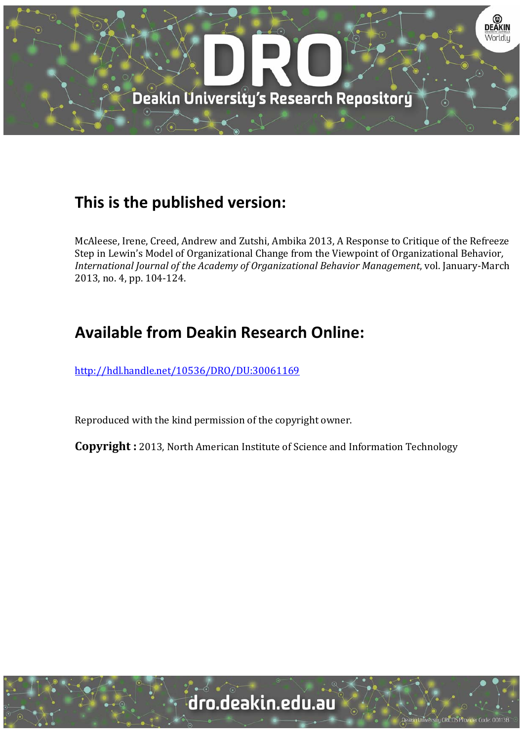

# **This is the published version:**

McAleese, Irene, Creed, Andrew and Zutshi, Ambika 2013, A Response to Critique of the Refreeze Step in Lewin's Model of Organizational Change from the Viewpoint of Organizational Behavior, *International Journal of the Academy of Organizational Behavior Management*, vol. January‐March 2013, no. 4, pp. 104-124.

# **Available from Deakin Research Online:**

http://hdl.handle.net/10536/DRO/DU:30061169

Reproduced with the kind permission of the copyright owner.

**Copyright** : 2013, North American Institute of Science and Information Technology

University CRICOS Provider Code: 00113E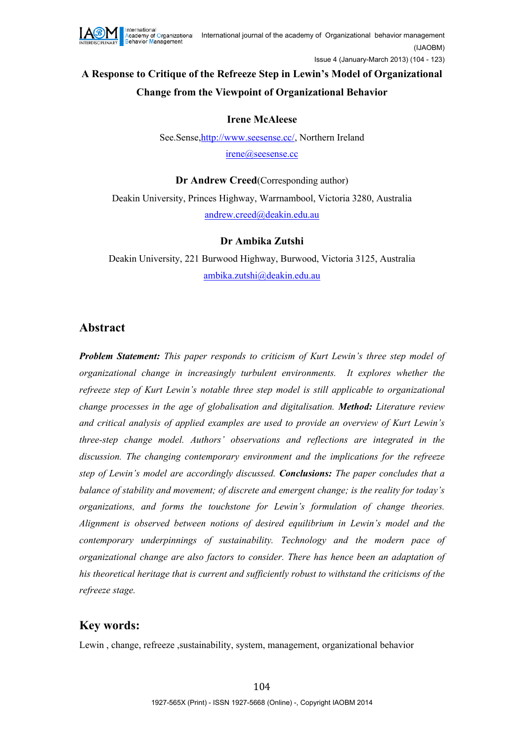

## **A Response to Critique of the Refreeze Step in Lewin's Model of Organizational Change from the Viewpoint of Organizational Behavior**

#### **Irene McAleese**

See.Sense[,http://www.seesense.cc/,](http://www.seesense.cc/) Northern Ireland [irene@seesense.cc](mailto:irene@seesense.cc)

**Dr Andrew Creed**(Corresponding author) Deakin University, Princes Highway, Warrnambool, Victoria 3280, Australia [andrew.creed@deakin.edu.au](mailto:andrew.creed@deakin.edu.au)

#### **Dr Ambika Zutshi**

Deakin University, 221 Burwood Highway, Burwood, Victoria 3125, Australia [ambika.zutshi@deakin.edu.au](mailto:ambika.zutshi@deakin.edu.au)

#### **Abstract**

*Problem Statement: This paper responds to criticism of Kurt Lewin's three step model of organizational change in increasingly turbulent environments. It explores whether the refreeze step of Kurt Lewin's notable three step model is still applicable to organizational change processes in the age of globalisation and digitalisation. Method: Literature review and critical analysis of applied examples are used to provide an overview of Kurt Lewin's three-step change model. Authors' observations and reflections are integrated in the discussion. The changing contemporary environment and the implications for the refreeze step of Lewin's model are accordingly discussed. Conclusions: The paper concludes that a balance of stability and movement; of discrete and emergent change; is the reality for today's organizations, and forms the touchstone for Lewin's formulation of change theories. Alignment is observed between notions of desired equilibrium in Lewin's model and the contemporary underpinnings of sustainability. Technology and the modern pace of organizational change are also factors to consider. There has hence been an adaptation of his theoretical heritage that is current and sufficiently robust to withstand the criticisms of the refreeze stage.*

### **Key words:**

Lewin , change, refreeze ,sustainability, system, management, organizational behavior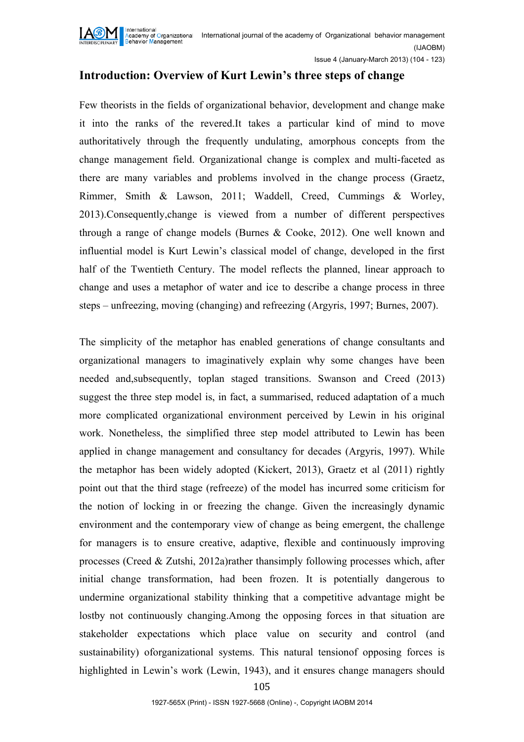

Issue 4 (January-March 2013) (104 - 123)

### **Introduction: Overview of Kurt Lewin's three steps of change**

Few theorists in the fields of organizational behavior, development and change make it into the ranks of the revered.It takes a particular kind of mind to move authoritatively through the frequently undulating, amorphous concepts from the change management field. Organizational change is complex and multi-faceted as there are many variables and problems involved in the change process (Graetz, Rimmer, Smith & Lawson, 2011; Waddell, Creed, Cummings & Worley, 2013).Consequently,change is viewed from a number of different perspectives through a range of change models (Burnes & Cooke, 2012). One well known and influential model is Kurt Lewin's classical model of change, developed in the first half of the Twentieth Century. The model reflects the planned, linear approach to change and uses a metaphor of water and ice to describe a change process in three steps – unfreezing, moving (changing) and refreezing (Argyris, 1997; Burnes, 2007).

The simplicity of the metaphor has enabled generations of change consultants and organizational managers to imaginatively explain why some changes have been needed and,subsequently, toplan staged transitions. Swanson and Creed (2013) suggest the three step model is, in fact, a summarised, reduced adaptation of a much more complicated organizational environment perceived by Lewin in his original work. Nonetheless, the simplified three step model attributed to Lewin has been applied in change management and consultancy for decades (Argyris, 1997). While the metaphor has been widely adopted (Kickert, 2013), Graetz et al (2011) rightly point out that the third stage (refreeze) of the model has incurred some criticism for the notion of locking in or freezing the change. Given the increasingly dynamic environment and the contemporary view of change as being emergent, the challenge for managers is to ensure creative, adaptive, flexible and continuously improving processes (Creed  $\&$  Zutshi, 2012a)rather than simply following processes which, after initial change transformation, had been frozen. It is potentially dangerous to undermine organizational stability thinking that a competitive advantage might be lostby not continuously changing.Among the opposing forces in that situation are stakeholder expectations which place value on security and control (and sustainability) oforganizational systems. This natural tensionof opposing forces is highlighted in Lewin's work (Lewin, 1943), and it ensures change managers should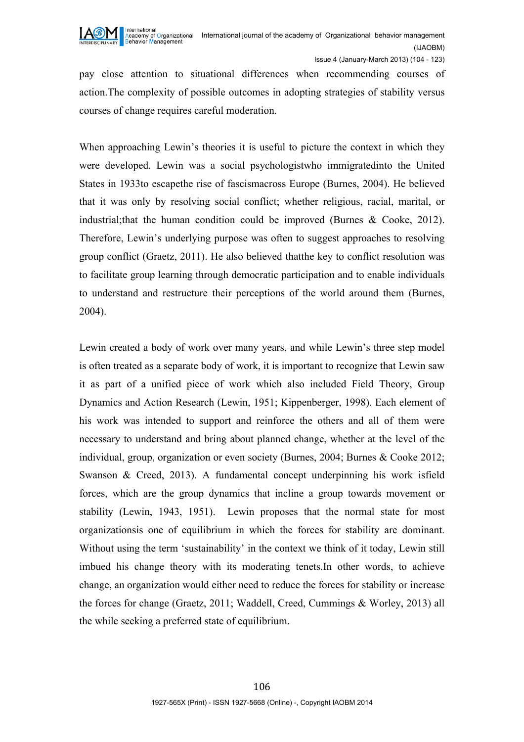

pay close attention to situational differences when recommending courses of action.The complexity of possible outcomes in adopting strategies of stability versus courses of change requires careful moderation.

When approaching Lewin's theories it is useful to picture the context in which they were developed. Lewin was a social psychologistwho immigratedinto the United States in 1933to escapethe rise of fascismacross Europe (Burnes, 2004). He believed that it was only by resolving social conflict; whether religious, racial, marital, or industrial;that the human condition could be improved (Burnes & Cooke, 2012). Therefore, Lewin's underlying purpose was often to suggest approaches to resolving group conflict (Graetz, 2011). He also believed thatthe key to conflict resolution was to facilitate group learning through democratic participation and to enable individuals to understand and restructure their perceptions of the world around them (Burnes, 2004).

Lewin created a body of work over many years, and while Lewin's three step model is often treated as a separate body of work, it is important to recognize that Lewin saw it as part of a unified piece of work which also included Field Theory, Group Dynamics and Action Research (Lewin, 1951; Kippenberger, 1998). Each element of his work was intended to support and reinforce the others and all of them were necessary to understand and bring about planned change, whether at the level of the individual, group, organization or even society (Burnes, 2004; Burnes & Cooke 2012; Swanson & Creed, 2013). A fundamental concept underpinning his work isfield forces, which are the group dynamics that incline a group towards movement or stability (Lewin, 1943, 1951). Lewin proposes that the normal state for most organizationsis one of equilibrium in which the forces for stability are dominant. Without using the term 'sustainability' in the context we think of it today, Lewin still imbued his change theory with its moderating tenets.In other words, to achieve change, an organization would either need to reduce the forces for stability or increase the forces for change (Graetz, 2011; Waddell, Creed, Cummings & Worley, 2013) all the while seeking a preferred state of equilibrium.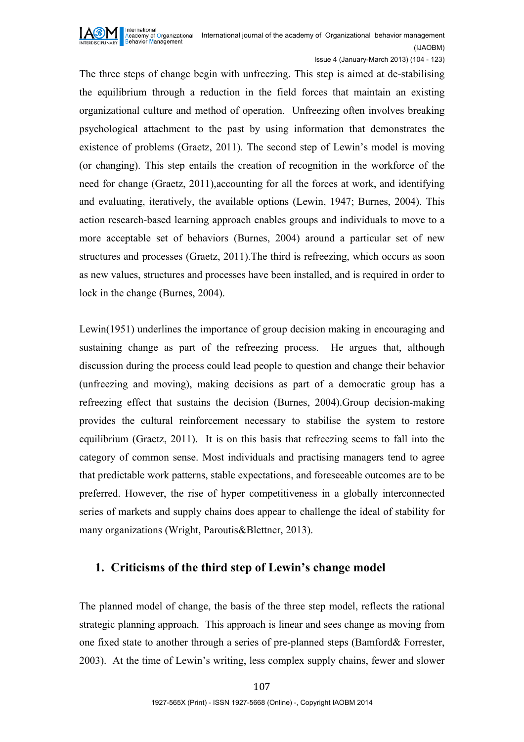

Issue 4 (January-March 2013) (104 - 123)

The three steps of change begin with unfreezing. This step is aimed at de-stabilising the equilibrium through a reduction in the field forces that maintain an existing organizational culture and method of operation. Unfreezing often involves breaking psychological attachment to the past by using information that demonstrates the existence of problems (Graetz, 2011). The second step of Lewin's model is moving (or changing). This step entails the creation of recognition in the workforce of the need for change (Graetz, 2011),accounting for all the forces at work, and identifying and evaluating, iteratively, the available options (Lewin, 1947; Burnes, 2004). This action research-based learning approach enables groups and individuals to move to a more acceptable set of behaviors (Burnes, 2004) around a particular set of new structures and processes (Graetz, 2011).The third is refreezing, which occurs as soon as new values, structures and processes have been installed, and is required in order to lock in the change (Burnes, 2004).

Lewin(1951) underlines the importance of group decision making in encouraging and sustaining change as part of the refreezing process. He argues that, although discussion during the process could lead people to question and change their behavior (unfreezing and moving), making decisions as part of a democratic group has a refreezing effect that sustains the decision (Burnes, 2004).Group decision-making provides the cultural reinforcement necessary to stabilise the system to restore equilibrium (Graetz, 2011). It is on this basis that refreezing seems to fall into the category of common sense. Most individuals and practising managers tend to agree that predictable work patterns, stable expectations, and foreseeable outcomes are to be preferred. However, the rise of hyper competitiveness in a globally interconnected series of markets and supply chains does appear to challenge the ideal of stability for many organizations (Wright, Paroutis&Blettner, 2013).

### **1. Criticisms of the third step of Lewin's change model**

The planned model of change, the basis of the three step model, reflects the rational strategic planning approach. This approach is linear and sees change as moving from one fixed state to another through a series of pre-planned steps (Bamford& Forrester, 2003). At the time of Lewin's writing, less complex supply chains, fewer and slower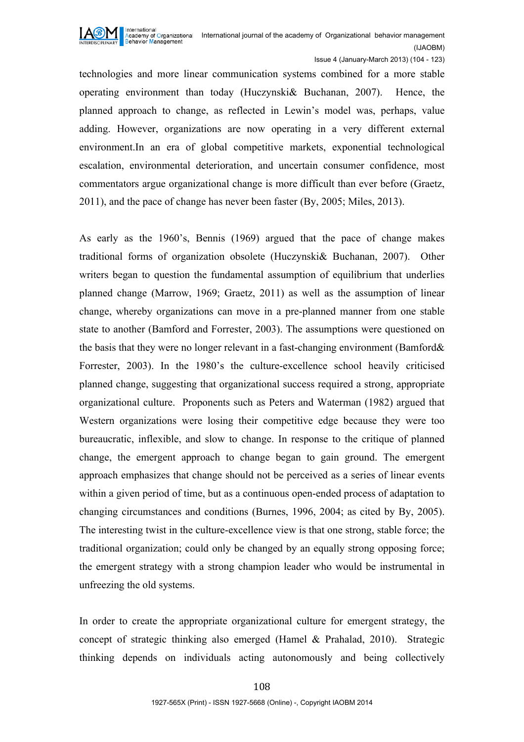

Issue 4 (January-March 2013) (104 - 123)

technologies and more linear communication systems combined for a more stable operating environment than today (Huczynski& Buchanan, 2007). Hence, the planned approach to change, as reflected in Lewin's model was, perhaps, value adding. However, organizations are now operating in a very different external environment.In an era of global competitive markets, exponential technological escalation, environmental deterioration, and uncertain consumer confidence, most commentators argue organizational change is more difficult than ever before (Graetz, 2011), and the pace of change has never been faster (By, 2005; Miles, 2013).

As early as the 1960's, Bennis (1969) argued that the pace of change makes traditional forms of organization obsolete (Huczynski& Buchanan, 2007). Other writers began to question the fundamental assumption of equilibrium that underlies planned change (Marrow, 1969; Graetz, 2011) as well as the assumption of linear change, whereby organizations can move in a pre-planned manner from one stable state to another (Bamford and Forrester, 2003). The assumptions were questioned on the basis that they were no longer relevant in a fast-changing environment (Bamford& Forrester, 2003). In the 1980's the culture-excellence school heavily criticised planned change, suggesting that organizational success required a strong, appropriate organizational culture. Proponents such as Peters and Waterman (1982) argued that Western organizations were losing their competitive edge because they were too bureaucratic, inflexible, and slow to change. In response to the critique of planned change, the emergent approach to change began to gain ground. The emergent approach emphasizes that change should not be perceived as a series of linear events within a given period of time, but as a continuous open-ended process of adaptation to changing circumstances and conditions (Burnes, 1996, 2004; as cited by By, 2005). The interesting twist in the culture-excellence view is that one strong, stable force; the traditional organization; could only be changed by an equally strong opposing force; the emergent strategy with a strong champion leader who would be instrumental in unfreezing the old systems.

In order to create the appropriate organizational culture for emergent strategy, the concept of strategic thinking also emerged (Hamel & Prahalad, 2010). Strategic thinking depends on individuals acting autonomously and being collectively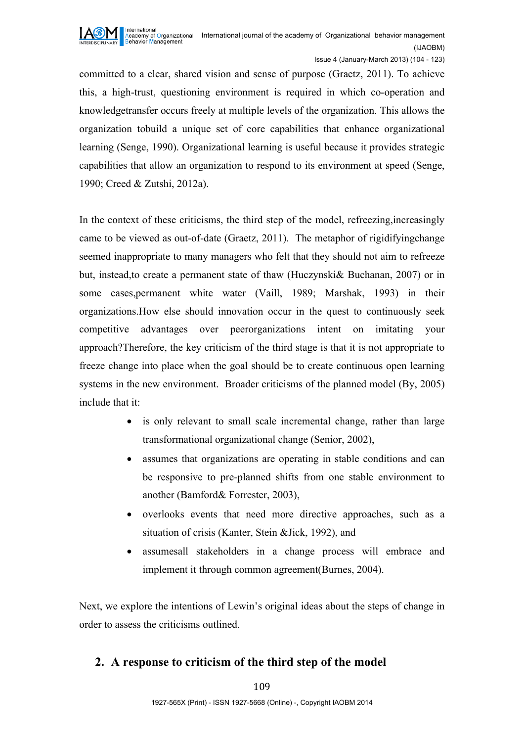

Issue 4 (January-March 2013) (104 - 123)

committed to a clear, shared vision and sense of purpose (Graetz, 2011). To achieve this, a high-trust, questioning environment is required in which co-operation and knowledgetransfer occurs freely at multiple levels of the organization. This allows the organization tobuild a unique set of core capabilities that enhance organizational learning (Senge, 1990). Organizational learning is useful because it provides strategic capabilities that allow an organization to respond to its environment at speed (Senge, 1990; Creed & Zutshi, 2012a).

In the context of these criticisms, the third step of the model, refreezing,increasingly came to be viewed as out-of-date (Graetz, 2011). The metaphor of rigidifyingchange seemed inappropriate to many managers who felt that they should not aim to refreeze but, instead,to create a permanent state of thaw (Huczynski& Buchanan, 2007) or in some cases,permanent white water (Vaill, 1989; Marshak, 1993) in their organizations.How else should innovation occur in the quest to continuously seek competitive advantages over peerorganizations intent on imitating your approach?Therefore, the key criticism of the third stage is that it is not appropriate to freeze change into place when the goal should be to create continuous open learning systems in the new environment. Broader criticisms of the planned model (By, 2005) include that it:

- is only relevant to small scale incremental change, rather than large transformational organizational change (Senior, 2002),
- assumes that organizations are operating in stable conditions and can be responsive to pre-planned shifts from one stable environment to another (Bamford& Forrester, 2003),
- overlooks events that need more directive approaches, such as a situation of crisis (Kanter, Stein &Jick, 1992), and
- assumesall stakeholders in a change process will embrace and implement it through common agreement(Burnes, 2004).

Next, we explore the intentions of Lewin's original ideas about the steps of change in order to assess the criticisms outlined.

### **2. A response to criticism of the third step of the model**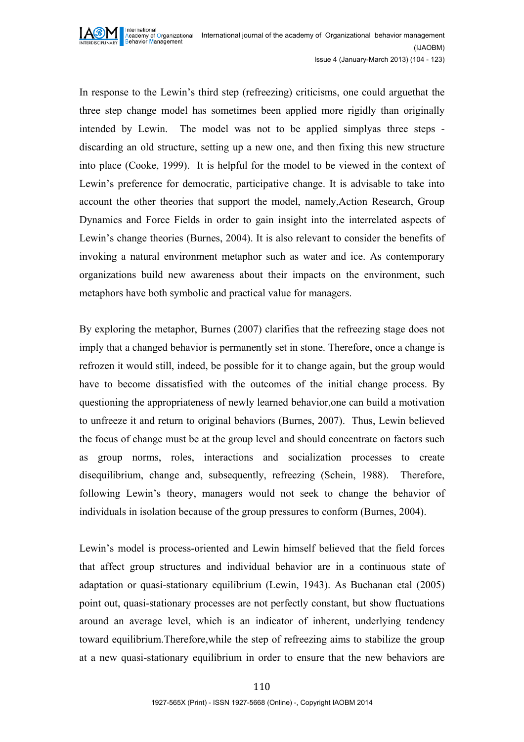

In response to the Lewin's third step (refreezing) criticisms, one could arguethat the three step change model has sometimes been applied more rigidly than originally intended by Lewin. The model was not to be applied simplyas three steps discarding an old structure, setting up a new one, and then fixing this new structure into place (Cooke, 1999). It is helpful for the model to be viewed in the context of Lewin's preference for democratic, participative change. It is advisable to take into account the other theories that support the model, namely,Action Research, Group Dynamics and Force Fields in order to gain insight into the interrelated aspects of Lewin's change theories (Burnes, 2004). It is also relevant to consider the benefits of invoking a natural environment metaphor such as water and ice. As contemporary organizations build new awareness about their impacts on the environment, such metaphors have both symbolic and practical value for managers.

By exploring the metaphor, Burnes (2007) clarifies that the refreezing stage does not imply that a changed behavior is permanently set in stone. Therefore, once a change is refrozen it would still, indeed, be possible for it to change again, but the group would have to become dissatisfied with the outcomes of the initial change process. By questioning the appropriateness of newly learned behavior,one can build a motivation to unfreeze it and return to original behaviors (Burnes, 2007). Thus, Lewin believed the focus of change must be at the group level and should concentrate on factors such as group norms, roles, interactions and socialization processes to create disequilibrium, change and, subsequently, refreezing (Schein, 1988). Therefore, following Lewin's theory, managers would not seek to change the behavior of individuals in isolation because of the group pressures to conform (Burnes, 2004).

Lewin's model is process-oriented and Lewin himself believed that the field forces that affect group structures and individual behavior are in a continuous state of adaptation or quasi-stationary equilibrium (Lewin, 1943). As Buchanan etal (2005) point out, quasi-stationary processes are not perfectly constant, but show fluctuations around an average level, which is an indicator of inherent, underlying tendency toward equilibrium.Therefore,while the step of refreezing aims to stabilize the group at a new quasi-stationary equilibrium in order to ensure that the new behaviors are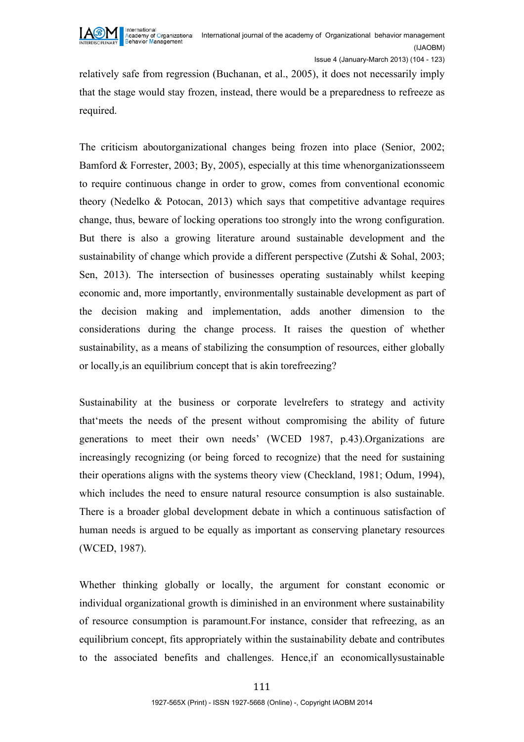

relatively safe from regression (Buchanan, et al., 2005), it does not necessarily imply that the stage would stay frozen, instead, there would be a preparedness to refreeze as required.

The criticism aboutorganizational changes being frozen into place (Senior, 2002; Bamford & Forrester, 2003; By, 2005), especially at this time whenorganizationsseem to require continuous change in order to grow, comes from conventional economic theory (Nedelko & Potocan, 2013) which says that competitive advantage requires change, thus, beware of locking operations too strongly into the wrong configuration. But there is also a growing literature around sustainable development and the sustainability of change which provide a different perspective (Zutshi & Sohal, 2003; Sen, 2013). The intersection of businesses operating sustainably whilst keeping economic and, more importantly, environmentally sustainable development as part of the decision making and implementation, adds another dimension to the considerations during the change process. It raises the question of whether sustainability, as a means of stabilizing the consumption of resources, either globally or locally,is an equilibrium concept that is akin torefreezing?

Sustainability at the business or corporate levelrefers to strategy and activity that'meets the needs of the present without compromising the ability of future generations to meet their own needs' (WCED 1987, p.43).Organizations are increasingly recognizing (or being forced to recognize) that the need for sustaining their operations aligns with the systems theory view (Checkland, 1981; Odum, 1994), which includes the need to ensure natural resource consumption is also sustainable. There is a broader global development debate in which a continuous satisfaction of human needs is argued to be equally as important as conserving planetary resources (WCED, 1987).

Whether thinking globally or locally, the argument for constant economic or individual organizational growth is diminished in an environment where sustainability of resource consumption is paramount.For instance, consider that refreezing, as an equilibrium concept, fits appropriately within the sustainability debate and contributes to the associated benefits and challenges. Hence,if an economicallysustainable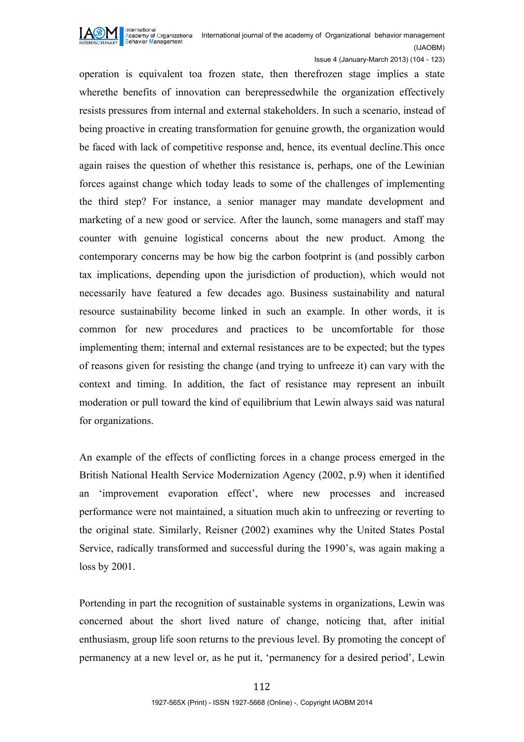

Issue 4 (January-March 2013) (104 - 123)

operation is equivalent toa frozen state, then therefrozen stage implies a state wherethe benefits of innovation can berepressedwhile the organization effectively resists pressures from internal and external stakeholders. In such a scenario, instead of being proactive in creating transformation for genuine growth, the organization would be faced with lack of competitive response and, hence, its eventual decline.This once again raises the question of whether this resistance is, perhaps, one of the Lewinian forces against change which today leads to some of the challenges of implementing the third step? For instance, a senior manager may mandate development and marketing of a new good or service. After the launch, some managers and staff may counter with genuine logistical concerns about the new product. Among the contemporary concerns may be how big the carbon footprint is (and possibly carbon tax implications, depending upon the jurisdiction of production), which would not necessarily have featured a few decades ago. Business sustainability and natural resource sustainability become linked in such an example. In other words, it is common for new procedures and practices to be uncomfortable for those implementing them; internal and external resistances are to be expected; but the types of reasons given for resisting the change (and trying to unfreeze it) can vary with the context and timing. In addition, the fact of resistance may represent an inbuilt moderation or pull toward the kind of equilibrium that Lewin always said was natural for organizations.

An example of the effects of conflicting forces in a change process emerged in the British National Health Service Modernization Agency (2002, p.9) when it identified an 'improvement evaporation effect', where new processes and increased performance were not maintained, a situation much akin to unfreezing or reverting to the original state. Similarly, Reisner (2002) examines why the United States Postal Service, radically transformed and successful during the 1990's, was again making a loss by 2001.

Portending in part the recognition of sustainable systems in organizations, Lewin was concerned about the short lived nature of change, noticing that, after initial enthusiasm, group life soon returns to the previous level. By promoting the concept of permanency at a new level or, as he put it, 'permanency for a desired period', Lewin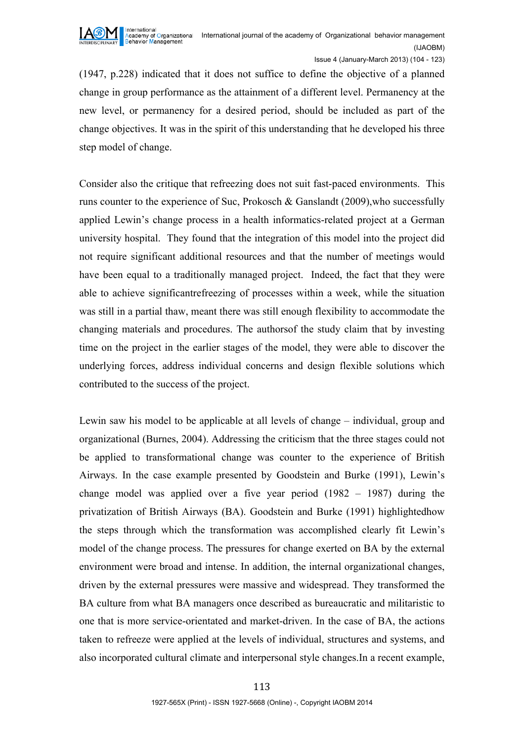

(1947, p.228) indicated that it does not suffice to define the objective of a planned change in group performance as the attainment of a different level. Permanency at the new level, or permanency for a desired period, should be included as part of the change objectives. It was in the spirit of this understanding that he developed his three step model of change.

Consider also the critique that refreezing does not suit fast-paced environments. This runs counter to the experience of Suc, Prokosch & Ganslandt (2009),who successfully applied Lewin's change process in a health informatics-related project at a German university hospital. They found that the integration of this model into the project did not require significant additional resources and that the number of meetings would have been equal to a traditionally managed project. Indeed, the fact that they were able to achieve significantrefreezing of processes within a week, while the situation was still in a partial thaw, meant there was still enough flexibility to accommodate the changing materials and procedures. The authorsof the study claim that by investing time on the project in the earlier stages of the model, they were able to discover the underlying forces, address individual concerns and design flexible solutions which contributed to the success of the project.

Lewin saw his model to be applicable at all levels of change – individual, group and organizational (Burnes, 2004). Addressing the criticism that the three stages could not be applied to transformational change was counter to the experience of British Airways. In the case example presented by Goodstein and Burke (1991), Lewin's change model was applied over a five year period (1982 – 1987) during the privatization of British Airways (BA). Goodstein and Burke (1991) highlightedhow the steps through which the transformation was accomplished clearly fit Lewin's model of the change process. The pressures for change exerted on BA by the external environment were broad and intense. In addition, the internal organizational changes, driven by the external pressures were massive and widespread. They transformed the BA culture from what BA managers once described as bureaucratic and militaristic to one that is more service-orientated and market-driven. In the case of BA, the actions taken to refreeze were applied at the levels of individual, structures and systems, and also incorporated cultural climate and interpersonal style changes.In a recent example,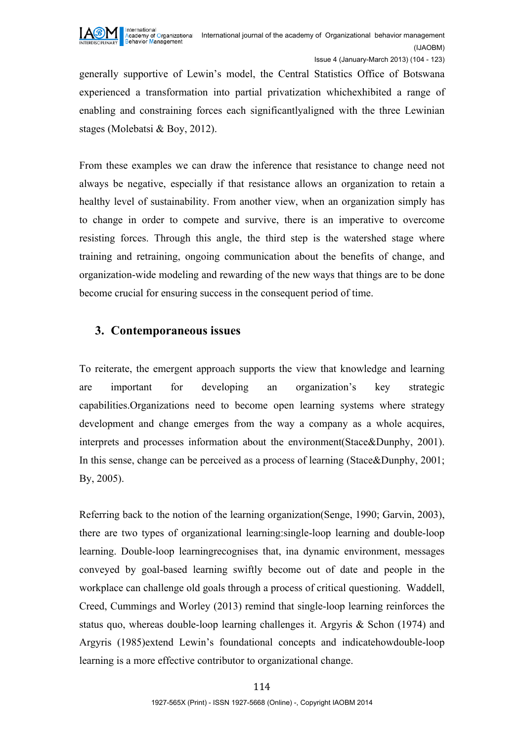

generally supportive of Lewin's model, the Central Statistics Office of Botswana experienced a transformation into partial privatization whichexhibited a range of enabling and constraining forces each significantlyaligned with the three Lewinian stages (Molebatsi & Boy, 2012).

From these examples we can draw the inference that resistance to change need not always be negative, especially if that resistance allows an organization to retain a healthy level of sustainability. From another view, when an organization simply has to change in order to compete and survive, there is an imperative to overcome resisting forces. Through this angle, the third step is the watershed stage where training and retraining, ongoing communication about the benefits of change, and organization-wide modeling and rewarding of the new ways that things are to be done become crucial for ensuring success in the consequent period of time.

#### **3. Contemporaneous issues**

To reiterate, the emergent approach supports the view that knowledge and learning are important for developing an organization's key strategic capabilities.Organizations need to become open learning systems where strategy development and change emerges from the way a company as a whole acquires, interprets and processes information about the environment(Stace&Dunphy, 2001). In this sense, change can be perceived as a process of learning (Stace&Dunphy, 2001; By, 2005).

Referring back to the notion of the learning organization(Senge, 1990; Garvin, 2003), there are two types of organizational learning:single-loop learning and double-loop learning. Double-loop learningrecognises that, ina dynamic environment, messages conveyed by goal-based learning swiftly become out of date and people in the workplace can challenge old goals through a process of critical questioning. Waddell, Creed, Cummings and Worley (2013) remind that single-loop learning reinforces the status quo, whereas double-loop learning challenges it. Argyris & Schon (1974) and Argyris (1985)extend Lewin's foundational concepts and indicatehowdouble-loop learning is a more effective contributor to organizational change.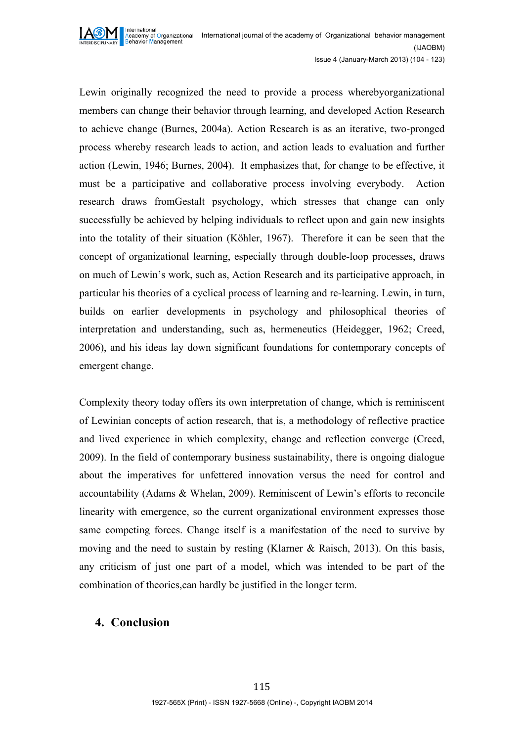

Lewin originally recognized the need to provide a process wherebyorganizational members can change their behavior through learning, and developed Action Research to achieve change (Burnes, 2004a). Action Research is as an iterative, two-pronged process whereby research leads to action, and action leads to evaluation and further action (Lewin, 1946; Burnes, 2004). It emphasizes that, for change to be effective, it must be a participative and collaborative process involving everybody. Action research draws fromGestalt psychology, which stresses that change can only successfully be achieved by helping individuals to reflect upon and gain new insights into the totality of their situation (Köhler, 1967). Therefore it can be seen that the concept of organizational learning, especially through double-loop processes, draws on much of Lewin's work, such as, Action Research and its participative approach, in particular his theories of a cyclical process of learning and re-learning. Lewin, in turn, builds on earlier developments in psychology and philosophical theories of interpretation and understanding, such as, hermeneutics (Heidegger, 1962; Creed, 2006), and his ideas lay down significant foundations for contemporary concepts of emergent change.

Complexity theory today offers its own interpretation of change, which is reminiscent of Lewinian concepts of action research, that is, a methodology of reflective practice and lived experience in which complexity, change and reflection converge (Creed, 2009). In the field of contemporary business sustainability, there is ongoing dialogue about the imperatives for unfettered innovation versus the need for control and accountability (Adams & Whelan, 2009). Reminiscent of Lewin's efforts to reconcile linearity with emergence, so the current organizational environment expresses those same competing forces. Change itself is a manifestation of the need to survive by moving and the need to sustain by resting (Klarner & Raisch, 2013). On this basis, any criticism of just one part of a model, which was intended to be part of the combination of theories,can hardly be justified in the longer term.

### **4. Conclusion**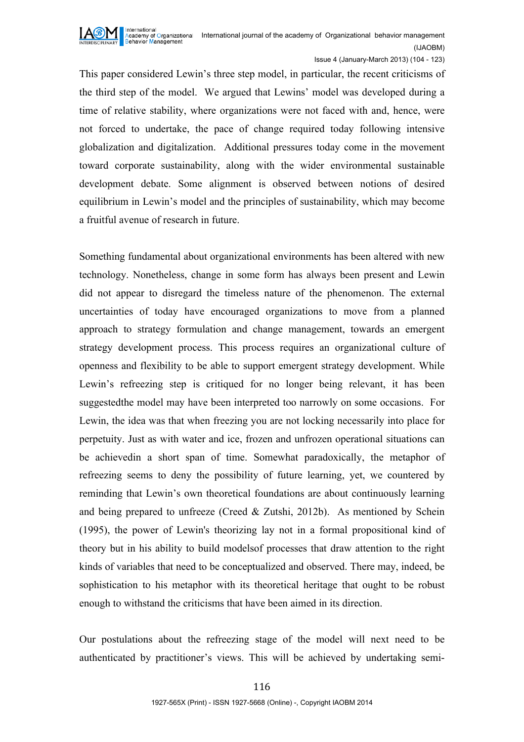

Issue 4 (January-March 2013) (104 - 123)

This paper considered Lewin's three step model, in particular, the recent criticisms of the third step of the model. We argued that Lewins' model was developed during a time of relative stability, where organizations were not faced with and, hence, were not forced to undertake, the pace of change required today following intensive globalization and digitalization. Additional pressures today come in the movement toward corporate sustainability, along with the wider environmental sustainable development debate. Some alignment is observed between notions of desired equilibrium in Lewin's model and the principles of sustainability, which may become a fruitful avenue of research in future.

Something fundamental about organizational environments has been altered with new technology. Nonetheless, change in some form has always been present and Lewin did not appear to disregard the timeless nature of the phenomenon. The external uncertainties of today have encouraged organizations to move from a planned approach to strategy formulation and change management, towards an emergent strategy development process. This process requires an organizational culture of openness and flexibility to be able to support emergent strategy development. While Lewin's refreezing step is critiqued for no longer being relevant, it has been suggestedthe model may have been interpreted too narrowly on some occasions. For Lewin, the idea was that when freezing you are not locking necessarily into place for perpetuity. Just as with water and ice, frozen and unfrozen operational situations can be achievedin a short span of time. Somewhat paradoxically, the metaphor of refreezing seems to deny the possibility of future learning, yet, we countered by reminding that Lewin's own theoretical foundations are about continuously learning and being prepared to unfreeze (Creed & Zutshi, 2012b). As mentioned by Schein (1995), the power of Lewin's theorizing lay not in a formal propositional kind of theory but in his ability to build modelsof processes that draw attention to the right kinds of variables that need to be conceptualized and observed. There may, indeed, be sophistication to his metaphor with its theoretical heritage that ought to be robust enough to withstand the criticisms that have been aimed in its direction.

Our postulations about the refreezing stage of the model will next need to be authenticated by practitioner's views. This will be achieved by undertaking semi-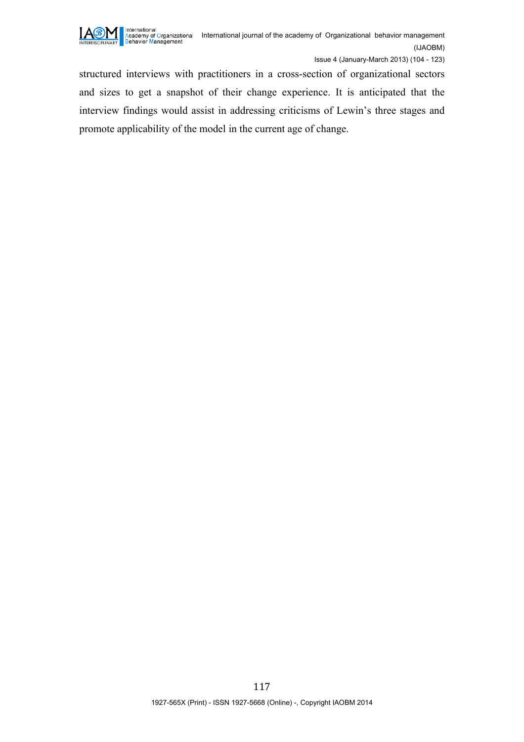

structured interviews with practitioners in a cross-section of organizational sectors and sizes to get a snapshot of their change experience. It is anticipated that the interview findings would assist in addressing criticisms of Lewin's three stages and promote applicability of the model in the current age of change.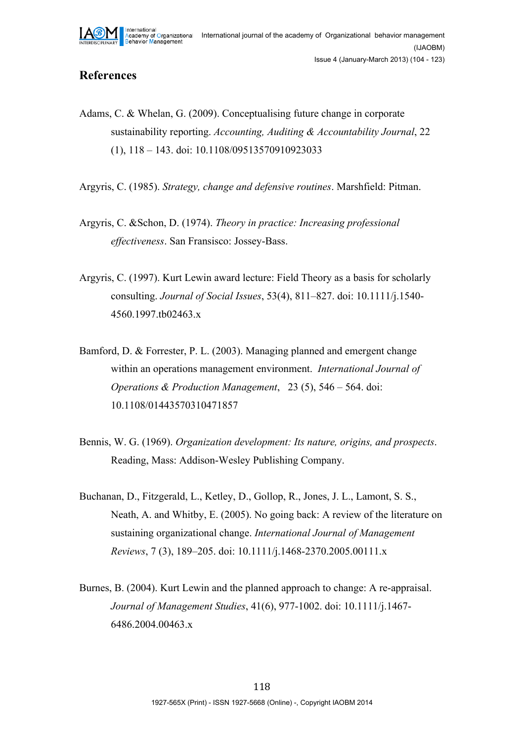

#### **References**

Adams, C. & Whelan, G. (2009). Conceptualising future change in corporate sustainability reporting. *Accounting, Auditing & Accountability Journal*, 22 (1), 118 – 143. doi: 10.1108/09513570910923033

Argyris, C. (1985). *Strategy, change and defensive routines*. Marshfield: Pitman.

- Argyris, C. &Schon, D. (1974). *Theory in practice: Increasing professional effectiveness*. San Fransisco: Jossey-Bass.
- Argyris, C. (1997). Kurt Lewin award lecture: Field Theory as a basis for scholarly consulting. *Journal of Social Issues*, 53(4), 811–827. doi: 10.1111/j.1540- 4560.1997.tb02463.x
- Bamford, D. & Forrester, P. L. (2003). Managing planned and emergent change within an operations management environment. *International Journal of Operations & Production Management*, 23 (5), 546 – 564. doi: 10.1108/01443570310471857
- Bennis, W. G. (1969). *Organization development: Its nature, origins, and prospects*. Reading, Mass: Addison-Wesley Publishing Company.
- Buchanan, D., Fitzgerald, L., Ketley, D., Gollop, R., Jones, J. L., Lamont, S. S., Neath, A. and Whitby, E. (2005). No going back: A review of the literature on sustaining organizational change. *International Journal of Management Reviews*, 7 (3), 189–205. doi: 10.1111/j.1468-2370.2005.00111.x
- Burnes, B. (2004). Kurt Lewin and the planned approach to change: A re-appraisal. *Journal of Management Studies*, 41(6), 977-1002. doi: 10.1111/j.1467- 6486.2004.00463.x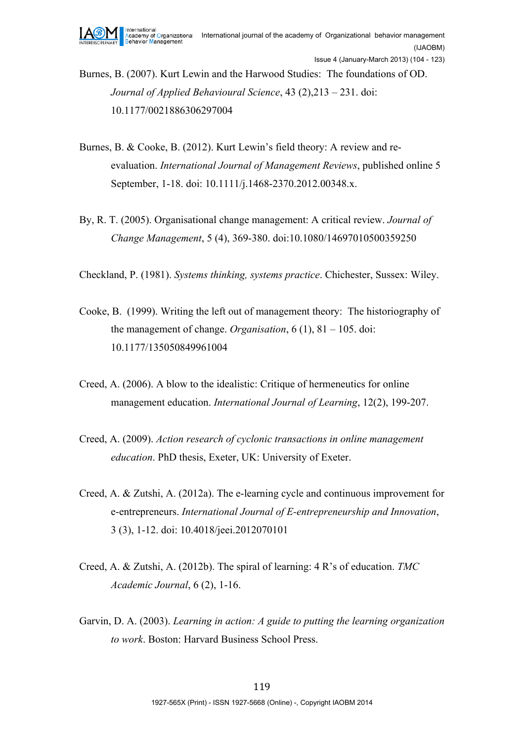Burnes, B. (2007). Kurt Lewin and the Harwood Studies: The foundations of OD. *Journal of Applied Behavioural Science*, 43 (2),213 – 231. doi: 10.1177/0021886306297004

- Burnes, B. & Cooke, B. (2012). Kurt Lewin's field theory: A review and reevaluation. *International Journal of Management Reviews*, published online 5 September, 1-18. doi: 10.1111/j.1468-2370.2012.00348.x.
- By, R. T. (2005). Organisational change management: A critical review. *Journal of Change Management*, 5 (4), 369-380. doi:10.1080/14697010500359250
- Checkland, P. (1981). *Systems thinking, systems practice*. Chichester, Sussex: Wiley.
- Cooke, B. (1999). Writing the left out of management theory: The historiography of the management of change. *Organisation*, 6 (1), 81 – 105. doi: 10.1177/135050849961004
- Creed, A. (2006). A blow to the idealistic: Critique of hermeneutics for online management education. *International Journal of Learning*, 12(2), 199-207.
- Creed, A. (2009). *Action research of cyclonic transactions in online management education*. PhD thesis, Exeter, UK: University of Exeter.
- Creed, A. & Zutshi, A. (2012a). The e-learning cycle and continuous improvement for e-entrepreneurs. *International Journal of E-entrepreneurship and Innovation*, 3 (3), 1-12. doi: 10.4018/jeei.2012070101
- Creed, A. & Zutshi, A. (2012b). The spiral of learning: 4 R's of education. *TMC Academic Journal*, 6 (2), 1-16.
- Garvin, D. A. (2003). *Learning in action: A guide to putting the learning organization to work*. Boston: Harvard Business School Press.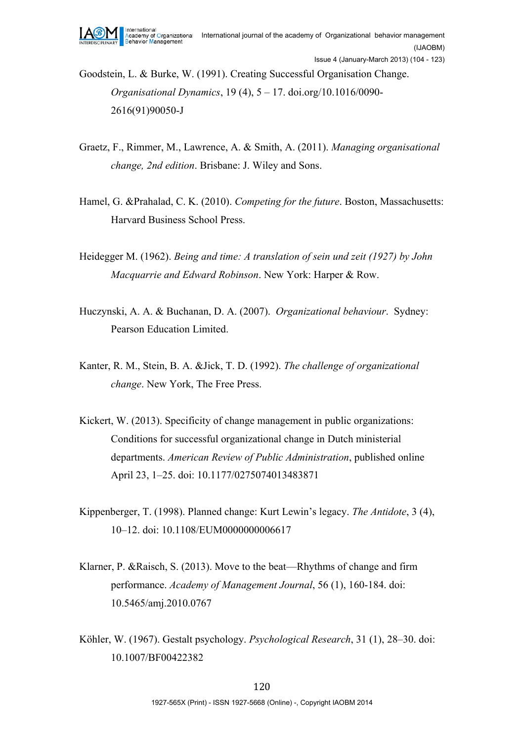Goodstein, L. & Burke, W. (1991). Creating Successful Organisation Change. *Organisational Dynamics*, 19 (4), 5 – 17. doi.org/10.1016/0090- 2616(91)90050-J

- Graetz, F., Rimmer, M., Lawrence, A. & Smith, A. (2011). *Managing organisational change, 2nd edition*. Brisbane: J. Wiley and Sons.
- Hamel, G. &Prahalad, C. K. (2010). *Competing for the future*. Boston, Massachusetts: Harvard Business School Press.
- Heidegger M. (1962). *Being and time: A translation of sein und zeit (1927) by John Macquarrie and Edward Robinson*. New York: Harper & Row.
- Huczynski, A. A. & Buchanan, D. A. (2007). *Organizational behaviour*. Sydney: Pearson Education Limited.
- Kanter, R. M., Stein, B. A. &Jick, T. D. (1992). *The challenge of organizational change*. New York, The Free Press.
- Kickert, W. (2013). Specificity of change management in public organizations: Conditions for successful organizational change in Dutch ministerial departments. *American Review of Public Administration*, published online April 23, 1–25. doi: 10.1177/0275074013483871
- Kippenberger, T. (1998). Planned change: Kurt Lewin's legacy. *The Antidote*, 3 (4), 10–12. doi: 10.1108/EUM0000000006617
- Klarner, P. &Raisch, S. (2013). Move to the beat—Rhythms of change and firm performance. *Academy of Management Journal*, 56 (1), 160-184. doi: 10.5465/amj.2010.0767
- Köhler, W. (1967). Gestalt psychology. *Psychological Research*, 31 (1), 28–30. doi: 10.1007/BF00422382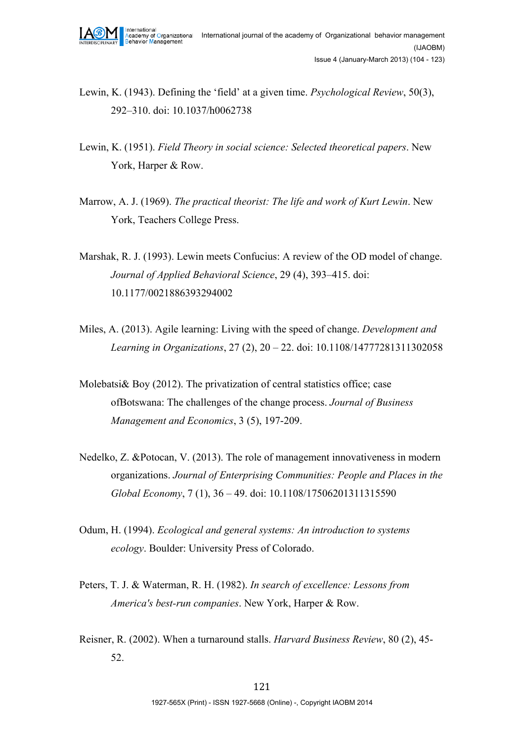- Lewin, K. (1943). Defining the 'field' at a given time. *Psychological Review*, 50(3), 292–310. doi: 10.1037/h0062738
- Lewin, K. (1951). *Field Theory in social science: Selected theoretical papers*. New York, Harper & Row.
- Marrow, A. J. (1969). *The practical theorist: The life and work of Kurt Lewin*. New York, Teachers College Press.
- Marshak, R. J. (1993). Lewin meets Confucius: A review of the OD model of change. *Journal of Applied Behavioral Science*, 29 (4), 393–415. doi: 10.1177/0021886393294002
- Miles, A. (2013). Agile learning: Living with the speed of change. *Development and Learning in Organizations*, 27 (2), 20 – 22. doi: 10.1108/14777281311302058
- Molebatsi & Boy (2012). The privatization of central statistics office; case ofBotswana: The challenges of the change process. *Journal of Business Management and Economics*, 3 (5), 197-209.
- Nedelko, Z. &Potocan, V. (2013). The role of management innovativeness in modern organizations. *Journal of Enterprising Communities: People and Places in the Global Economy*, 7 (1), 36 – 49. doi: 10.1108/17506201311315590
- Odum, H. (1994). *Ecological and general systems: An introduction to systems ecology*. Boulder: University Press of Colorado.
- Peters, T. J. & Waterman, R. H. (1982). *In search of excellence: Lessons from America's best-run companies*. New York, Harper & Row.
- Reisner, R. (2002). When a turnaround stalls. *Harvard Business Review*, 80 (2), 45- 52.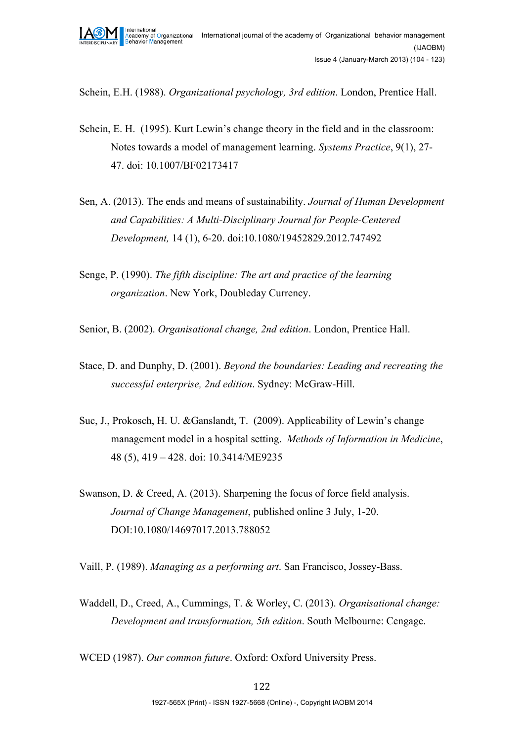

Schein, E.H. (1988). *Organizational psychology, 3rd edition*. London, Prentice Hall.

- Schein, E. H. (1995). Kurt Lewin's change theory in the field and in the classroom: Notes towards a model of management learning. *Systems Practice*, 9(1), 27- 47. doi: 10.1007/BF02173417
- Sen, A. (2013). The ends and means of sustainability. *Journal of Human Development and Capabilities: A Multi-Disciplinary Journal for People-Centered Development,* 14 (1), 6-20. doi:10.1080/19452829.2012.747492
- Senge, P. (1990). *The fifth discipline: The art and practice of the learning organization*. New York, Doubleday Currency.
- Senior, B. (2002). *Organisational change, 2nd edition*. London, Prentice Hall.
- Stace, D. and Dunphy, D. (2001). *Beyond the boundaries: Leading and recreating the successful enterprise, 2nd edition*. Sydney: McGraw-Hill.
- Suc, J., Prokosch, H. U. &Ganslandt, T. (2009). Applicability of Lewin's change management model in a hospital setting. *Methods of Information in Medicine*, 48 (5), 419 – 428. doi: 10.3414/ME9235
- Swanson, D. & Creed, A. (2013). Sharpening the focus of force field analysis. *Journal of Change Management*, published online 3 July, 1-20. DOI:10.1080/14697017.2013.788052

Vaill, P. (1989). *Managing as a performing art*. San Francisco, Jossey-Bass.

Waddell, D., Creed, A., Cummings, T. & Worley, C. (2013). *Organisational change: Development and transformation, 5th edition*. South Melbourne: Cengage.

WCED (1987). *Our common future*. Oxford: Oxford University Press.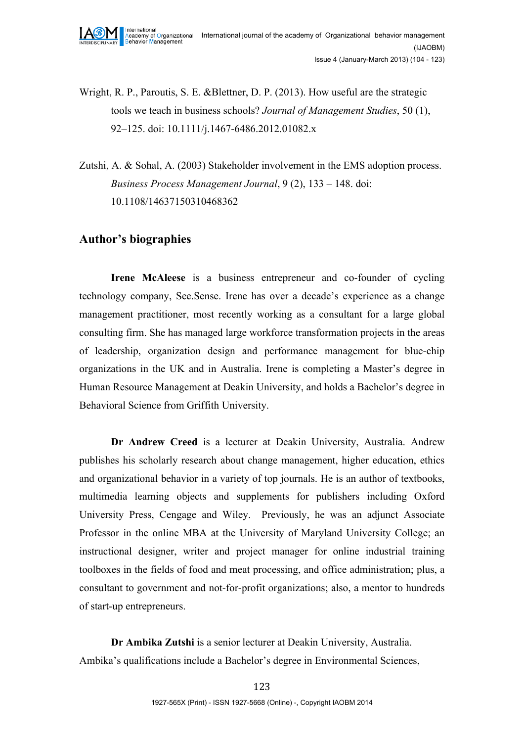- Wright, R. P., Paroutis, S. E. &Blettner, D. P. (2013). How useful are the strategic tools we teach in business schools? *Journal of Management Studies*, 50 (1), 92–125. doi: 10.1111/j.1467-6486.2012.01082.x
- Zutshi, A. & Sohal, A. (2003) Stakeholder involvement in the EMS adoption process. *Business Process Management Journal*, 9 (2), 133 – 148. doi: 10.1108/14637150310468362

### **Author's biographies**

**Irene McAleese** is a business entrepreneur and co-founder of cycling technology company, See.Sense. Irene has over a decade's experience as a change management practitioner, most recently working as a consultant for a large global consulting firm. She has managed large workforce transformation projects in the areas of leadership, organization design and performance management for blue-chip organizations in the UK and in Australia. Irene is completing a Master's degree in Human Resource Management at Deakin University, and holds a Bachelor's degree in Behavioral Science from Griffith University.

**Dr Andrew Creed** is a lecturer at Deakin University, Australia. Andrew publishes his scholarly research about change management, higher education, ethics and organizational behavior in a variety of top journals. He is an author of textbooks, multimedia learning objects and supplements for publishers including Oxford University Press, Cengage and Wiley. Previously, he was an adjunct Associate Professor in the online MBA at the University of Maryland University College; an instructional designer, writer and project manager for online industrial training toolboxes in the fields of food and meat processing, and office administration; plus, a consultant to government and not-for-profit organizations; also, a mentor to hundreds of start-up entrepreneurs.

**Dr Ambika Zutshi** is a senior lecturer at Deakin University, Australia. Ambika's qualifications include a Bachelor's degree in Environmental Sciences,